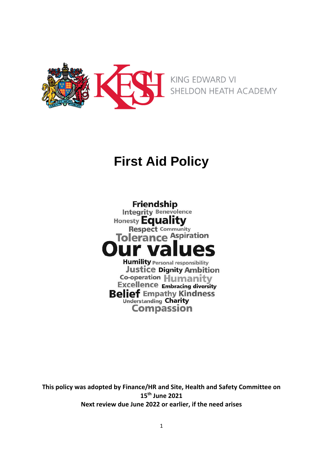

# **First Aid Policy**

**Friendship Integrity Benevolence** Honesty Equality **Respect Community** Tolerance Aspiration **Humility Personal responsibility Justice Dignity Ambition** Co-operation Humanity **Excellence Embracing diversity Belief Empathy Kindness Understanding Charity Compassion** 

**This policy was adopted by Finance/HR and Site, Health and Safety Committee on 15th June 2021 Next review due June 2022 or earlier, if the need arises**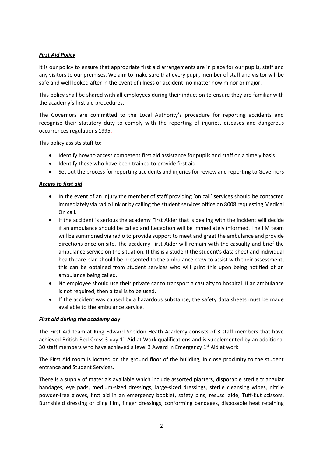## *First Aid Policy*

It is our policy to ensure that appropriate first aid arrangements are in place for our pupils, staff and any visitors to our premises. We aim to make sure that every pupil, member of staff and visitor will be safe and well looked after in the event of illness or accident, no matter how minor or major.

This policy shall be shared with all employees during their induction to ensure they are familiar with the academy's first aid procedures.

The Governors are committed to the Local Authority's procedure for reporting accidents and recognise their statutory duty to comply with the reporting of injuries, diseases and dangerous occurrences regulations 1995.

This policy assists staff to:

- Identify how to access competent first aid assistance for pupils and staff on a timely basis
- Identify those who have been trained to provide first aid
- Set out the process for reporting accidents and injuries for review and reporting to Governors

## *Access to first aid*

- In the event of an injury the member of staff providing 'on call' services should be contacted immediately via radio link or by calling the student services office on 8008 requesting Medical On call.
- If the accident is serious the academy First Aider that is dealing with the incident will decide if an ambulance should be called and Reception will be immediately informed. The FM team will be summoned via radio to provide support to meet and greet the ambulance and provide directions once on site. The academy First Aider will remain with the casualty and brief the ambulance service on the situation. If this is a student the student's data sheet and individual health care plan should be presented to the ambulance crew to assist with their assessment, this can be obtained from student services who will print this upon being notified of an ambulance being called.
- No employee should use their private car to transport a casualty to hospital. If an ambulance is not required, then a taxi is to be used.
- If the accident was caused by a hazardous substance, the safety data sheets must be made available to the ambulance service.

#### *First aid during the academy day*

The First Aid team at King Edward Sheldon Heath Academy consists of 3 staff members that have achieved British Red Cross 3 day  $1<sup>st</sup>$  Aid at Work qualifications and is supplemented by an additional 30 staff members who have achieved a level 3 Award in Emergency  $1<sup>st</sup>$  Aid at work.

The First Aid room is located on the ground floor of the building, in close proximity to the student entrance and Student Services.

There is a supply of materials available which include assorted plasters, disposable sterile triangular bandages, eye pads, medium-sized dressings, large-sized dressings, sterile cleansing wipes, nitrile powder-free gloves, first aid in an emergency booklet, safety pins, resusci aide, Tuff-Kut scissors, Burnshield dressing or cling film, finger dressings, conforming bandages, disposable heat retaining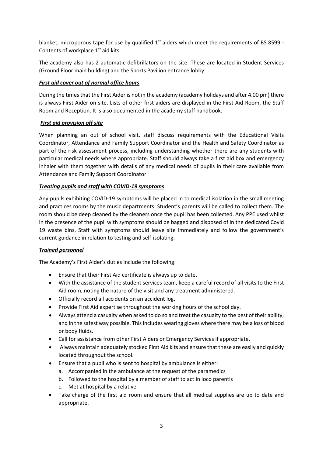blanket, microporous tape for use by qualified  $1<sup>st</sup>$  aiders which meet the requirements of BS 8599 -Contents of workplace 1<sup>st</sup> aid kits.

The academy also has 2 automatic defibrillators on the site. These are located in Student Services (Ground Floor main building) and the Sports Pavilion entrance lobby.

## *First aid cover out of normal office hours*

During the times that the First Aider is not in the academy (academy holidays and after 4.00 pm) there is always First Aider on site. Lists of other first aiders are displayed in the First Aid Room, the Staff Room and Reception. It is also documented in the academy staff handbook.

# *First aid provision off site*

When planning an out of school visit, staff discuss requirements with the Educational Visits Coordinator, Attendance and Family Support Coordinator and the Health and Safety Coordinator as part of the risk assessment process, including understanding whether there are any students with particular medical needs where appropriate. Staff should always take a first aid box and emergency inhaler with them together with details of any medical needs of pupils in their care available from Attendance and Family Support Coordinator

# *Treating pupils and staff with COVID-19 symptoms*

Any pupils exhibiting COVID-19 symptoms will be placed in to medical isolation in the small meeting and practices rooms by the music departments. Student's parents will be called to collect them. The room should be deep cleaned by the cleaners once the pupil has been collected. Any PPE used whilst in the presence of the pupil with symptoms should be bagged and disposed of in the dedicated Covid 19 waste bins. Staff with symptoms should leave site immediately and follow the government's current guidance in relation to testing and self-isolating.

## *Trained personnel*

The Academy's First Aider's duties include the following:

- Ensure that their First Aid certificate is always up to date.
- With the assistance of the student services team, keep a careful record of all visits to the First Aid room, noting the nature of the visit and any treatment administered.
- Officially record all accidents on an accident log.
- Provide First Aid expertise throughout the working hours of the school day.
- Always attend a casualty when asked to do so and treat the casualty to the best of their ability, and in the safest way possible. This includes wearing gloves where there may be a loss of blood or body fluids.
- Call for assistance from other First Aiders or Emergency Services if appropriate.
- Always maintain adequately stocked First Aid kits and ensure that these are easily and quickly located throughout the school.
- Ensure that a pupil who is sent to hospital by ambulance is either:
	- a. Accompanied in the ambulance at the request of the paramedics
	- b. Followed to the hospital by a member of staff to act in loco parentis
	- c. Met at hospital by a relative
- Take charge of the first aid room and ensure that all medical supplies are up to date and appropriate.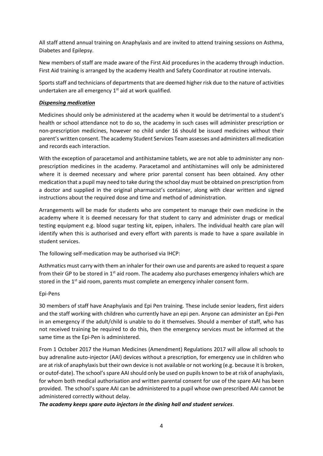All staff attend annual training on Anaphylaxis and are invited to attend training sessions on Asthma, Diabetes and Epilepsy.

New members of staff are made aware of the First Aid procedures in the academy through induction. First Aid training is arranged by the academy Health and Safety Coordinator at routine intervals.

Sports staff and technicians of departments that are deemed higher risk due to the nature of activities undertaken are all emergency  $1<sup>st</sup>$  aid at work qualified.

#### *Dispensing medication*

Medicines should only be administered at the academy when it would be detrimental to a student's health or school attendance not to do so, the academy in such cases will administer prescription or non-prescription medicines, however no child under 16 should be issued medicines without their parent's written consent. The academy Student Services Team assesses and administers all medication and records each interaction.

With the exception of paracetamol and antihistamine tablets, we are not able to administer any nonprescription medicines in the academy. Paracetamol and antihistamines will only be administered where it is deemed necessary and where prior parental consent has been obtained. Any other medication that a pupil may need to take during the school day must be obtained on prescription from a doctor and supplied in the original pharmacist's container, along with clear written and signed instructions about the required dose and time and method of administration.

Arrangements will be made for students who are competent to manage their own medicine in the academy where it is deemed necessary for that student to carry and administer drugs or medical testing equipment e.g. blood sugar testing kit, epipen, inhalers. The individual health care plan will identify when this is authorised and every effort with parents is made to have a spare available in student services.

The following self-medication may be authorised via IHCP:

Asthmatics must carry with them an inhaler for their own use and parents are asked to request a spare from their GP to be stored in 1<sup>st</sup> aid room. The academy also purchases emergency inhalers which are stored in the 1<sup>st</sup> aid room, parents must complete an emergency inhaler consent form.

## Epi-Pens

30 members of staff have Anaphylaxis and Epi Pen training. These include senior leaders, first aiders and the staff working with children who currently have an epi pen. Anyone can administer an Epi-Pen in an emergency if the adult/child is unable to do it themselves. Should a member of staff, who has not received training be required to do this, then the emergency services must be informed at the same time as the Epi-Pen is administered.

From 1 October 2017 the Human Medicines (Amendment) Regulations 2017 will allow all schools to buy adrenaline auto-injector (AAI) devices without a prescription, for emergency use in children who are at risk of anaphylaxis but their own device is not available or not working (e.g. because it is broken, or outof-date). The school's spare AAI should only be used on pupils known to be at risk of anaphylaxis, for whom both medical authorisation and written parental consent for use of the spare AAI has been provided. The school's spare AAI can be administered to a pupil whose own prescribed AAI cannot be administered correctly without delay.

*The academy keeps spare auto injectors in the dining hall and student services*.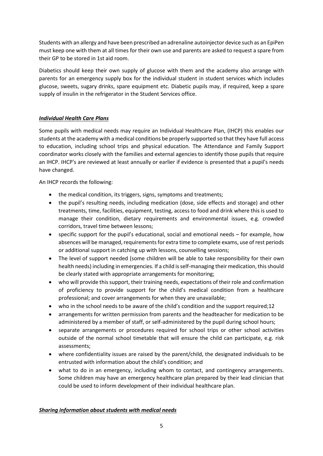Students with an allergy and have been prescribed an adrenaline autoinjector device such as an EpiPen must keep one with them at all times for their own use and parents are asked to request a spare from their GP to be stored in 1st aid room.

Diabetics should keep their own supply of glucose with them and the academy also arrange with parents for an emergency supply box for the individual student in student services which includes glucose, sweets, sugary drinks, spare equipment etc. Diabetic pupils may, if required, keep a spare supply of insulin in the refrigerator in the Student Services office.

# *Individual Health Care Plans*

Some pupils with medical needs may require an Individual Healthcare Plan, (IHCP) this enables our students at the academy with a medical conditions be properly supported so that they have full access to education, including school trips and physical education. The Attendance and Family Support coordinator works closely with the families and external agencies to identify those pupils that require an IHCP. IHCP's are reviewed at least annually or earlier if evidence is presented that a pupil's needs have changed.

An IHCP records the following:

- the medical condition, its triggers, signs, symptoms and treatments;
- the pupil's resulting needs, including medication (dose, side effects and storage) and other treatments, time, facilities, equipment, testing, access to food and drink where this is used to manage their condition, dietary requirements and environmental issues, e.g. crowded corridors, travel time between lessons;
- specific support for the pupil's educational, social and emotional needs for example, how absences will be managed, requirements for extra time to complete exams, use of rest periods or additional support in catching up with lessons, counselling sessions;
- The level of support needed (some children will be able to take responsibility for their own health needs) including in emergencies. If a child is self-managing their medication, this should be clearly stated with appropriate arrangements for monitoring;
- who will provide this support, their training needs, expectations of their role and confirmation of proficiency to provide support for the child's medical condition from a healthcare professional; and cover arrangements for when they are unavailable;
- who in the school needs to be aware of the child's condition and the support required;12
- arrangements for written permission from parents and the headteacher for medication to be administered by a member of staff, or self-administered by the pupil during school hours;
- separate arrangements or procedures required for school trips or other school activities outside of the normal school timetable that will ensure the child can participate, e.g. risk assessments;
- where confidentiality issues are raised by the parent/child, the designated individuals to be entrusted with information about the child's condition; and
- what to do in an emergency, including whom to contact, and contingency arrangements. Some children may have an emergency healthcare plan prepared by their lead clinician that could be used to inform development of their individual healthcare plan.

## *Sharing information about students with medical needs*